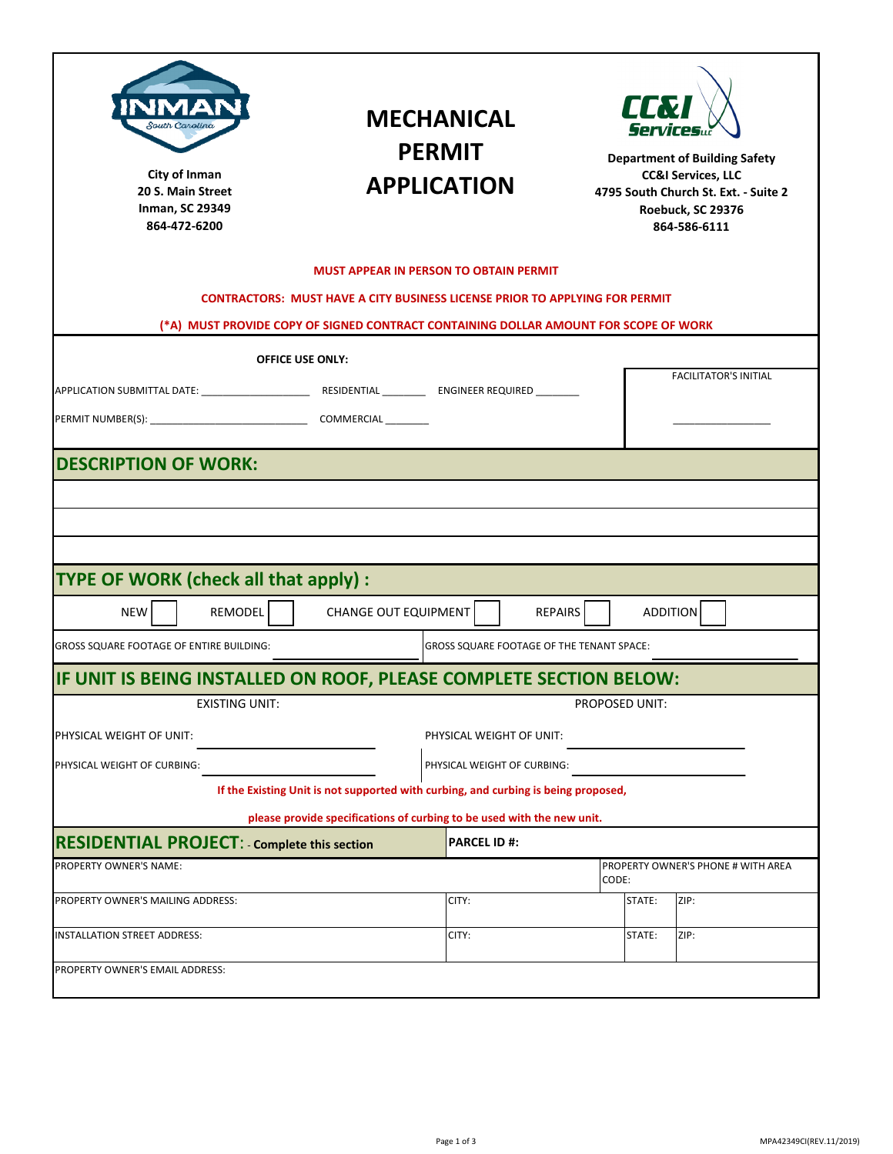|                                                           | VAI<br>South Carolina<br>City of Inman<br>20 S. Main Street<br><b>Inman, SC 29349</b><br>864-472-6200 | <b>MECHANICAL</b><br><b>PERMIT</b><br><b>APPLICATION</b>                             |                | <b>II.7</b><br><i>Services</i><br><b>Department of Building Safety</b><br><b>CC&amp;I Services, LLC</b><br>Roebuck, SC 29376<br>864-586-6111 | 4795 South Church St. Ext. - Suite 2 |
|-----------------------------------------------------------|-------------------------------------------------------------------------------------------------------|--------------------------------------------------------------------------------------|----------------|----------------------------------------------------------------------------------------------------------------------------------------------|--------------------------------------|
|                                                           |                                                                                                       | <b>MUST APPEAR IN PERSON TO OBTAIN PERMIT</b>                                        |                |                                                                                                                                              |                                      |
|                                                           |                                                                                                       | <b>CONTRACTORS: MUST HAVE A CITY BUSINESS LICENSE PRIOR TO APPLYING FOR PERMIT</b>   |                |                                                                                                                                              |                                      |
|                                                           |                                                                                                       | (*A) MUST PROVIDE COPY OF SIGNED CONTRACT CONTAINING DOLLAR AMOUNT FOR SCOPE OF WORK |                |                                                                                                                                              |                                      |
|                                                           |                                                                                                       | <b>OFFICE USE ONLY:</b>                                                              |                |                                                                                                                                              | <b>FACILITATOR'S INITIAL</b>         |
| <b>DESCRIPTION OF WORK:</b>                               |                                                                                                       |                                                                                      |                |                                                                                                                                              |                                      |
| <b>TYPE OF WORK (check all that apply):</b><br><b>NEW</b> | REMODEL                                                                                               | <b>CHANGE OUT EQUIPMENT</b>                                                          | <b>REPAIRS</b> | <b>ADDITION</b>                                                                                                                              |                                      |
| <b>GROSS SQUARE FOOTAGE OF ENTIRE BUILDING:</b>           |                                                                                                       | GROSS SQUARE FOOTAGE OF THE TENANT SPACE:                                            |                |                                                                                                                                              |                                      |
|                                                           |                                                                                                       | IF UNIT IS BEING INSTALLED ON ROOF, PLEASE COMPLETE SECTION BELOW:                   |                |                                                                                                                                              |                                      |
|                                                           | <b>EXISTING UNIT:</b>                                                                                 |                                                                                      | PROPOSED UNIT: |                                                                                                                                              |                                      |
| PHYSICAL WEIGHT OF UNIT:<br>PHYSICAL WEIGHT OF CURBING:   |                                                                                                       | PHYSICAL WEIGHT OF UNIT:<br>PHYSICAL WEIGHT OF CURBING:                              |                |                                                                                                                                              |                                      |
|                                                           |                                                                                                       | If the Existing Unit is not supported with curbing, and curbing is being proposed,   |                |                                                                                                                                              |                                      |
|                                                           |                                                                                                       | please provide specifications of curbing to be used with the new unit.               |                |                                                                                                                                              |                                      |
| <b>RESIDENTIAL PROJECT: - Complete this section</b>       |                                                                                                       | <b>PARCEL ID#:</b>                                                                   |                |                                                                                                                                              |                                      |
| PROPERTY OWNER'S NAME:                                    |                                                                                                       |                                                                                      | CODE:          |                                                                                                                                              | PROPERTY OWNER'S PHONE # WITH AREA   |
| PROPERTY OWNER'S MAILING ADDRESS:                         |                                                                                                       | CITY:                                                                                |                | STATE:<br>ZIP:                                                                                                                               |                                      |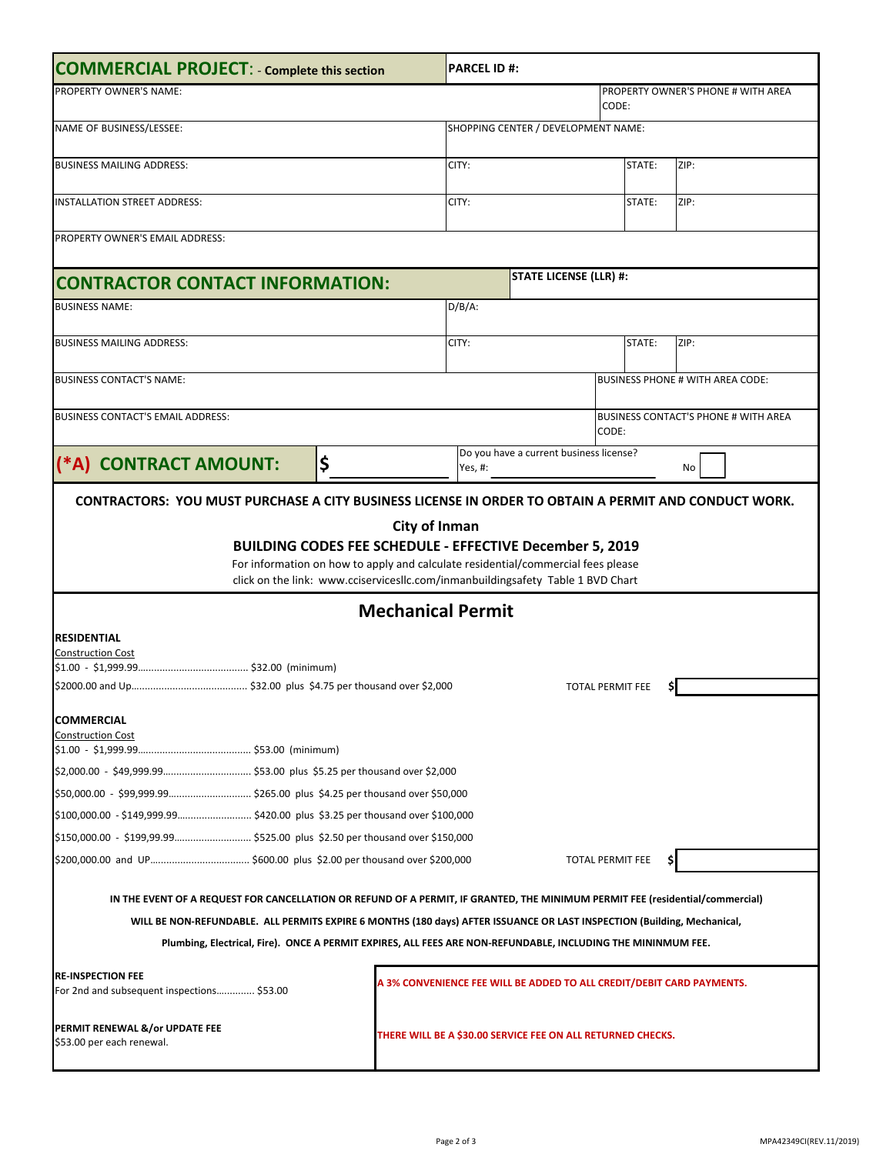| <b>COMMERCIAL PROJECT: - Complete this section</b>                                                                            |                                                                                                                                                                     |                                                                       | <b>PARCEL ID #:</b>                                  |       |                                         |  |  |  |  |
|-------------------------------------------------------------------------------------------------------------------------------|---------------------------------------------------------------------------------------------------------------------------------------------------------------------|-----------------------------------------------------------------------|------------------------------------------------------|-------|-----------------------------------------|--|--|--|--|
| PROPERTY OWNER'S NAME:                                                                                                        |                                                                                                                                                                     |                                                                       |                                                      | CODE: | PROPERTY OWNER'S PHONE # WITH AREA      |  |  |  |  |
| NAME OF BUSINESS/LESSEE:                                                                                                      |                                                                                                                                                                     | SHOPPING CENTER / DEVELOPMENT NAME:                                   |                                                      |       |                                         |  |  |  |  |
| <b>BUSINESS MAILING ADDRESS:</b>                                                                                              |                                                                                                                                                                     | CITY:                                                                 | STATE:                                               |       | ZIP:                                    |  |  |  |  |
| <b>INSTALLATION STREET ADDRESS:</b>                                                                                           |                                                                                                                                                                     | CITY:                                                                 | STATE:                                               |       | ZIP:                                    |  |  |  |  |
| PROPERTY OWNER'S EMAIL ADDRESS:                                                                                               |                                                                                                                                                                     |                                                                       |                                                      |       |                                         |  |  |  |  |
| <b>CONTRACTOR CONTACT INFORMATION:</b>                                                                                        |                                                                                                                                                                     |                                                                       | <b>STATE LICENSE (LLR) #:</b>                        |       |                                         |  |  |  |  |
| <b>BUSINESS NAME:</b>                                                                                                         |                                                                                                                                                                     | $D/B/A$ :                                                             |                                                      |       |                                         |  |  |  |  |
| <b>BUSINESS MAILING ADDRESS:</b>                                                                                              |                                                                                                                                                                     | CITY:                                                                 | STATE:                                               |       | ZIP:                                    |  |  |  |  |
| <b>BUSINESS CONTACT'S NAME:</b>                                                                                               |                                                                                                                                                                     |                                                                       |                                                      |       | <b>BUSINESS PHONE # WITH AREA CODE:</b> |  |  |  |  |
| <b>BUSINESS CONTACT'S EMAIL ADDRESS:</b>                                                                                      |                                                                                                                                                                     |                                                                       | <b>BUSINESS CONTACT'S PHONE # WITH AREA</b><br>CODE: |       |                                         |  |  |  |  |
| (*A) CONTRACT AMOUNT:                                                                                                         | \$                                                                                                                                                                  | Yes, #:                                                               | Do you have a current business license?              |       | No                                      |  |  |  |  |
|                                                                                                                               | For information on how to apply and calculate residential/commercial fees please<br>click on the link: www.cciservicesllc.com/inmanbuildingsafety Table 1 BVD Chart |                                                                       |                                                      |       |                                         |  |  |  |  |
|                                                                                                                               |                                                                                                                                                                     | <b>Mechanical Permit</b>                                              |                                                      |       |                                         |  |  |  |  |
| <b>RESIDENTIAL</b>                                                                                                            |                                                                                                                                                                     |                                                                       |                                                      |       |                                         |  |  |  |  |
| <b>Construction Cost</b>                                                                                                      |                                                                                                                                                                     |                                                                       |                                                      |       |                                         |  |  |  |  |
|                                                                                                                               |                                                                                                                                                                     |                                                                       | <b>TOTAL PERMIT FEE</b>                              |       |                                         |  |  |  |  |
| <b>COMMERCIAL</b>                                                                                                             |                                                                                                                                                                     |                                                                       |                                                      |       |                                         |  |  |  |  |
| <b>Construction Cost</b>                                                                                                      |                                                                                                                                                                     |                                                                       |                                                      |       |                                         |  |  |  |  |
|                                                                                                                               |                                                                                                                                                                     |                                                                       |                                                      |       |                                         |  |  |  |  |
|                                                                                                                               |                                                                                                                                                                     |                                                                       |                                                      |       |                                         |  |  |  |  |
|                                                                                                                               |                                                                                                                                                                     |                                                                       |                                                      |       |                                         |  |  |  |  |
| \$100,000.00 - \$149,999.99\$420.00 plus \$3.25 per thousand over \$100,000                                                   |                                                                                                                                                                     |                                                                       |                                                      |       |                                         |  |  |  |  |
|                                                                                                                               |                                                                                                                                                                     |                                                                       |                                                      |       |                                         |  |  |  |  |
| <b>TOTAL PERMIT FEE</b><br>\$                                                                                                 |                                                                                                                                                                     |                                                                       |                                                      |       |                                         |  |  |  |  |
| IN THE EVENT OF A REQUEST FOR CANCELLATION OR REFUND OF A PERMIT, IF GRANTED, THE MINIMUM PERMIT FEE (residential/commercial) |                                                                                                                                                                     |                                                                       |                                                      |       |                                         |  |  |  |  |
| WILL BE NON-REFUNDABLE. ALL PERMITS EXPIRE 6 MONTHS (180 days) AFTER ISSUANCE OR LAST INSPECTION (Building, Mechanical,       |                                                                                                                                                                     |                                                                       |                                                      |       |                                         |  |  |  |  |
| Plumbing, Electrical, Fire). ONCE A PERMIT EXPIRES, ALL FEES ARE NON-REFUNDABLE, INCLUDING THE MININMUM FEE.                  |                                                                                                                                                                     |                                                                       |                                                      |       |                                         |  |  |  |  |
| <b>RE-INSPECTION FEE</b><br>For 2nd and subsequent inspections \$53.00                                                        |                                                                                                                                                                     | A 3% CONVENIENCE FEE WILL BE ADDED TO ALL CREDIT/DEBIT CARD PAYMENTS. |                                                      |       |                                         |  |  |  |  |
| PERMIT RENEWAL &/or UPDATE FEE<br>\$53.00 per each renewal.                                                                   |                                                                                                                                                                     | THERE WILL BE A \$30.00 SERVICE FEE ON ALL RETURNED CHECKS.           |                                                      |       |                                         |  |  |  |  |